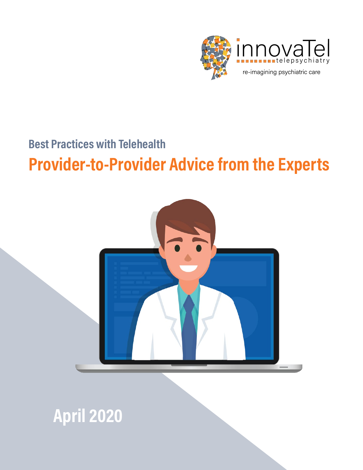

### **Best Practices with Telehealth**

# **Provider-to-Provider Advice from the Experts**



**April 2020**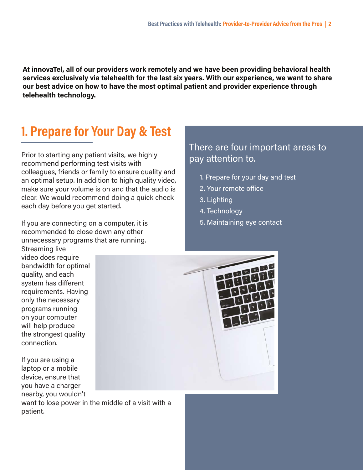**At innovaTel, all of our providers work remotely and we have been providing behavioral health services exclusively via telehealth for the last six years. With our experience, we want to share our best advice on how to have the most optimal patient and provider experience through telehealth technology.**

# **1. Prepare for Your Day & Test**

Prior to starting any patient visits, we highly recommend performing test visits with colleagues, friends or family to ensure quality and an optimal setup. In addition to high quality video, make sure your volume is on and that the audio is clear. We would recommend doing a quick check each day before you get started.

If you are connecting on a computer, it is recommended to close down any other unnecessary programs that are running.

Streaming live video does require bandwidth for optimal quality, and each system has different requirements. Having only the necessary programs running on your computer will help produce the strongest quality connection.

If you are using a laptop or a mobile device, ensure that you have a charger nearby, you wouldn't

want to lose power in the middle of a visit with a patient.

### There are four important areas to pay attention to.

- 1. Prepare for your day and test
- 2. Your remote office
- 3. Lighting
- 4. Technology
- 5. Maintaining eye contact

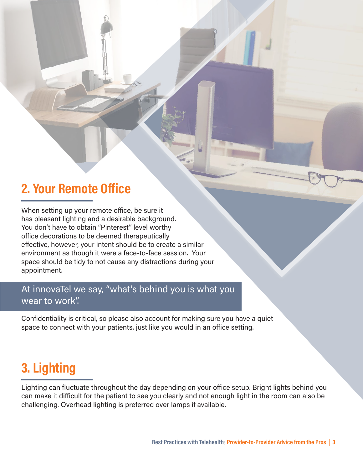### **2. Your Remote Office**

When setting up your remote office, be sure it has pleasant lighting and a desirable background. You don't have to obtain "Pinterest" level worthy office decorations to be deemed therapeutically effective, however, your intent should be to create a similar environment as though it were a face-to-face session. Your space should be tidy to not cause any distractions during your appointment.

### At innovaTel we say, "what's behind you is what you wear to work".

Confidentiality is critical, so please also account for making sure you have a quiet space to connect with your patients, just like you would in an office setting.

## **3. Lighting**

Lighting can fluctuate throughout the day depending on your office setup. Bright lights behind you can make it difficult for the patient to see you clearly and not enough light in the room can also be challenging. Overhead lighting is preferred over lamps if available.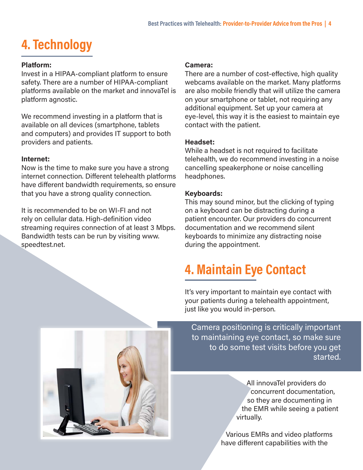# **4. Technology**

#### **Platform:**

Invest in a HIPAA-compliant platform to ensure safety. There are a number of HIPAA-compliant platforms available on the market and innovaTel is platform agnostic.

We recommend investing in a platform that is available on all devices (smartphone, tablets and computers) and provides IT support to both providers and patients.

#### **Internet:**

Now is the time to make sure you have a strong internet connection. Different telehealth platforms have different bandwidth requirements, so ensure that you have a strong quality connection.

It is recommended to be on WI-FI and not rely on cellular data. High-definition video streaming requires connection of at least 3 Mbps. Bandwidth tests can be run by visiting www. speedtest.net.

#### **Camera:**

There are a number of cost-effective, high quality webcams available on the market. Many platforms are also mobile friendly that will utilize the camera on your smartphone or tablet, not requiring any additional equipment. Set up your camera at eye-level, this way it is the easiest to maintain eye contact with the patient.

#### **Headset:**

While a headset is not required to facilitate telehealth, we do recommend investing in a noise cancelling speakerphone or noise cancelling headphones.

#### **Keyboards:**

This may sound minor, but the clicking of typing on a keyboard can be distracting during a patient encounter. Our providers do concurrent documentation and we recommend silent keyboards to minimize any distracting noise during the appointment.

# **4. Maintain Eye Contact**

It's very important to maintain eye contact with your patients during a telehealth appointment, just like you would in-person.



Camera positioning is critically important to maintaining eye contact, so make sure to do some test visits before you get started.

> All innovaTel providers do concurrent documentation, so they are documenting in the EMR while seeing a patient virtually.

Various EMRs and video platforms have different capabilities with the